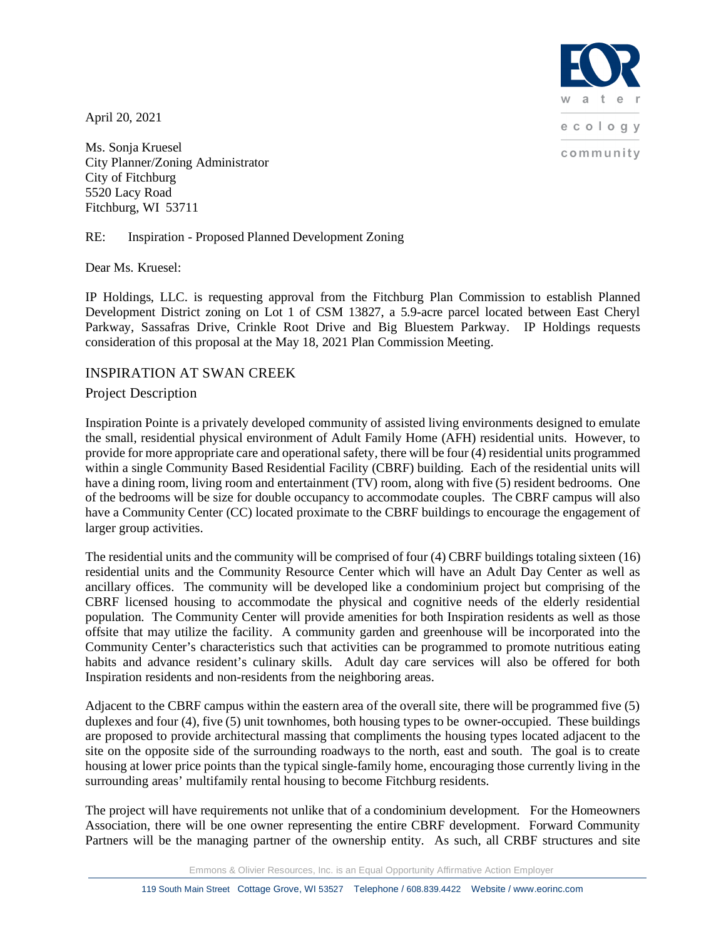ecology community

April 20, 2021

Ms. Sonja Kruesel City Planner/Zoning Administrator City of Fitchburg 5520 Lacy Road Fitchburg, WI 53711

## RE: Inspiration - Proposed Planned Development Zoning

Dear Ms. Kruesel:

IP Holdings, LLC. is requesting approval from the Fitchburg Plan Commission to establish Planned Development District zoning on Lot 1 of CSM 13827, a 5.9-acre parcel located between East Cheryl Parkway, Sassafras Drive, Crinkle Root Drive and Big Bluestem Parkway. IP Holdings requests consideration of this proposal at the May 18, 2021 Plan Commission Meeting.

## INSPIRATION AT SWAN CREEK

## Project Description

Inspiration Pointe is a privately developed community of assisted living environments designed to emulate the small, residential physical environment of Adult Family Home (AFH) residential units. However, to provide for more appropriate care and operational safety, there will be four (4) residential units programmed within a single Community Based Residential Facility (CBRF) building. Each of the residential units will have a dining room, living room and entertainment (TV) room, along with five (5) resident bedrooms. One of the bedrooms will be size for double occupancy to accommodate couples. The CBRF campus will also have a Community Center (CC) located proximate to the CBRF buildings to encourage the engagement of larger group activities.

The residential units and the community will be comprised of four (4) CBRF buildings totaling sixteen (16) residential units and the Community Resource Center which will have an Adult Day Center as well as ancillary offices. The community will be developed like a condominium project but comprising of the CBRF licensed housing to accommodate the physical and cognitive needs of the elderly residential population. The Community Center will provide amenities for both Inspiration residents as well as those offsite that may utilize the facility. A community garden and greenhouse will be incorporated into the Community Center's characteristics such that activities can be programmed to promote nutritious eating habits and advance resident's culinary skills. Adult day care services will also be offered for both Inspiration residents and non-residents from the neighboring areas.

Adjacent to the CBRF campus within the eastern area of the overall site, there will be programmed five (5) duplexes and four (4), five (5) unit townhomes, both housing types to be owner-occupied. These buildings are proposed to provide architectural massing that compliments the housing types located adjacent to the site on the opposite side of the surrounding roadways to the north, east and south. The goal is to create housing at lower price points than the typical single-family home, encouraging those currently living in the surrounding areas' multifamily rental housing to become Fitchburg residents.

The project will have requirements not unlike that of a condominium development. For the Homeowners Association, there will be one owner representing the entire CBRF development. Forward Community Partners will be the managing partner of the ownership entity. As such, all CRBF structures and site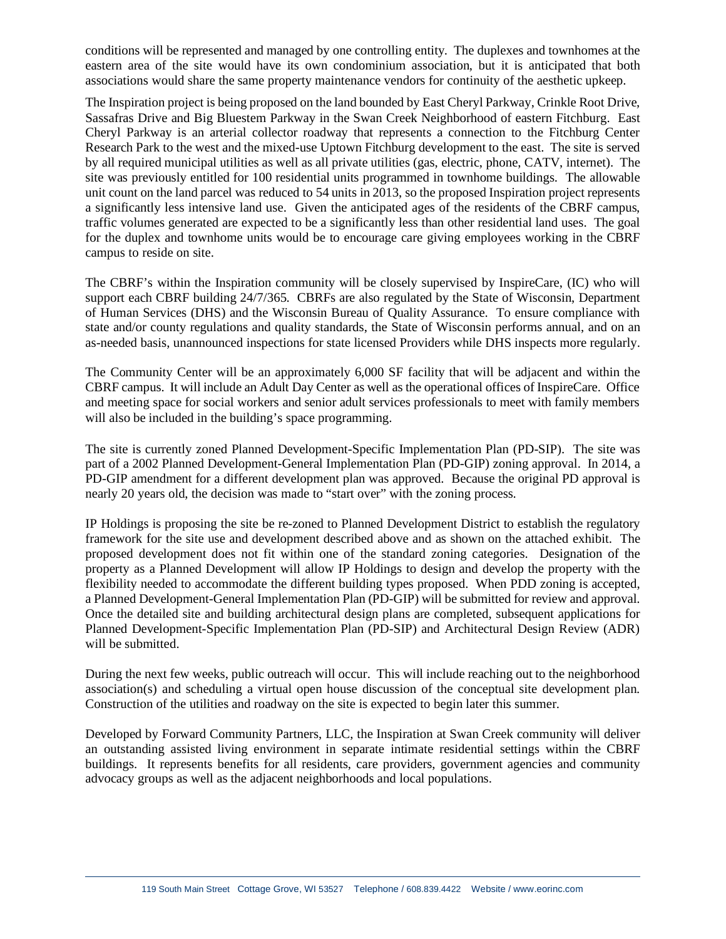conditions will be represented and managed by one controlling entity. The duplexes and townhomes at the eastern area of the site would have its own condominium association, but it is anticipated that both associations would share the same property maintenance vendors for continuity of the aesthetic upkeep.

The Inspiration project is being proposed on the land bounded by East Cheryl Parkway, Crinkle Root Drive, Sassafras Drive and Big Bluestem Parkway in the Swan Creek Neighborhood of eastern Fitchburg. East Cheryl Parkway is an arterial collector roadway that represents a connection to the Fitchburg Center Research Park to the west and the mixed-use Uptown Fitchburg development to the east. The site is served by all required municipal utilities as well as all private utilities (gas, electric, phone, CATV, internet). The site was previously entitled for 100 residential units programmed in townhome buildings. The allowable unit count on the land parcel was reduced to 54 units in 2013, so the proposed Inspiration project represents a significantly less intensive land use. Given the anticipated ages of the residents of the CBRF campus, traffic volumes generated are expected to be a significantly less than other residential land uses. The goal for the duplex and townhome units would be to encourage care giving employees working in the CBRF campus to reside on site.

The CBRF's within the Inspiration community will be closely supervised by InspireCare, (IC) who will support each CBRF building 24/7/365. CBRFs are also regulated by the State of Wisconsin, Department of Human Services (DHS) and the Wisconsin Bureau of Quality Assurance. To ensure compliance with state and/or county regulations and quality standards, the State of Wisconsin performs annual, and on an as-needed basis, unannounced inspections for state licensed Providers while DHS inspects more regularly.

The Community Center will be an approximately 6,000 SF facility that will be adjacent and within the CBRF campus. It will include an Adult Day Center as well as the operational offices of InspireCare. Office and meeting space for social workers and senior adult services professionals to meet with family members will also be included in the building's space programming.

The site is currently zoned Planned Development-Specific Implementation Plan (PD-SIP). The site was part of a 2002 Planned Development-General Implementation Plan (PD-GIP) zoning approval. In 2014, a PD-GIP amendment for a different development plan was approved. Because the original PD approval is nearly 20 years old, the decision was made to "start over" with the zoning process.

IP Holdings is proposing the site be re-zoned to Planned Development District to establish the regulatory framework for the site use and development described above and as shown on the attached exhibit. The proposed development does not fit within one of the standard zoning categories. Designation of the property as a Planned Development will allow IP Holdings to design and develop the property with the flexibility needed to accommodate the different building types proposed. When PDD zoning is accepted, a Planned Development-General Implementation Plan (PD-GIP) will be submitted for review and approval. Once the detailed site and building architectural design plans are completed, subsequent applications for Planned Development-Specific Implementation Plan (PD-SIP) and Architectural Design Review (ADR) will be submitted.

During the next few weeks, public outreach will occur. This will include reaching out to the neighborhood association(s) and scheduling a virtual open house discussion of the conceptual site development plan. Construction of the utilities and roadway on the site is expected to begin later this summer.

Developed by Forward Community Partners, LLC, the Inspiration at Swan Creek community will deliver an outstanding assisted living environment in separate intimate residential settings within the CBRF buildings. It represents benefits for all residents, care providers, government agencies and community advocacy groups as well as the adjacent neighborhoods and local populations.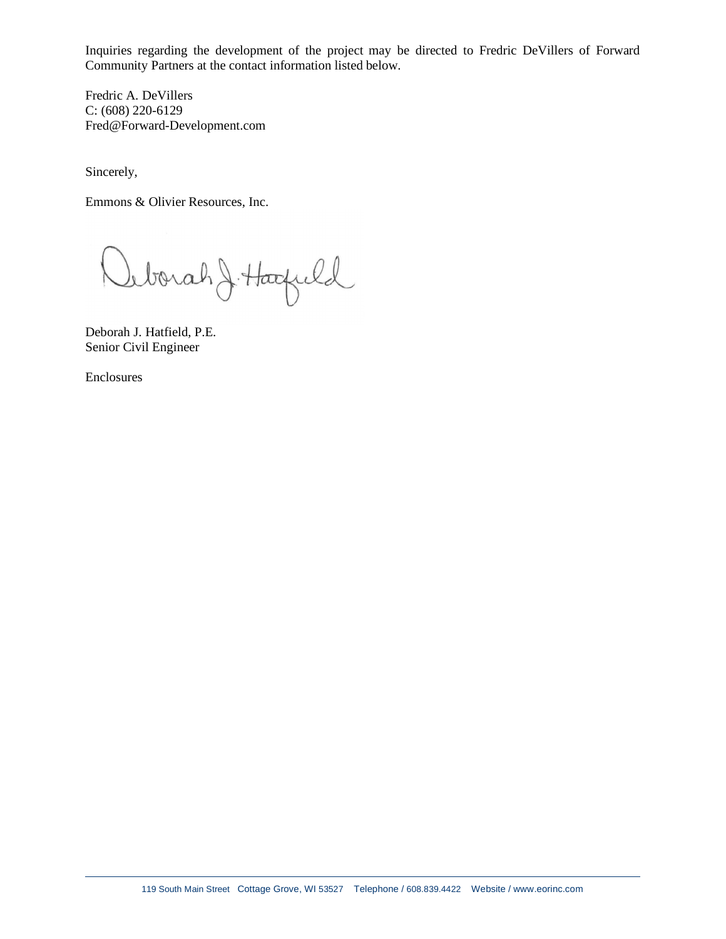Inquiries regarding the development of the project may be directed to Fredric DeVillers of Forward Community Partners at the contact information listed below.

Fredric A. DeVillers C: (608) 220-6129 Fred@Forward-Development.com

Sincerely,

Emmons & Olivier Resources, Inc.

Inborah J. Hacfuld

Deborah J. Hatfield, P.E. Senior Civil Engineer

Enclosures